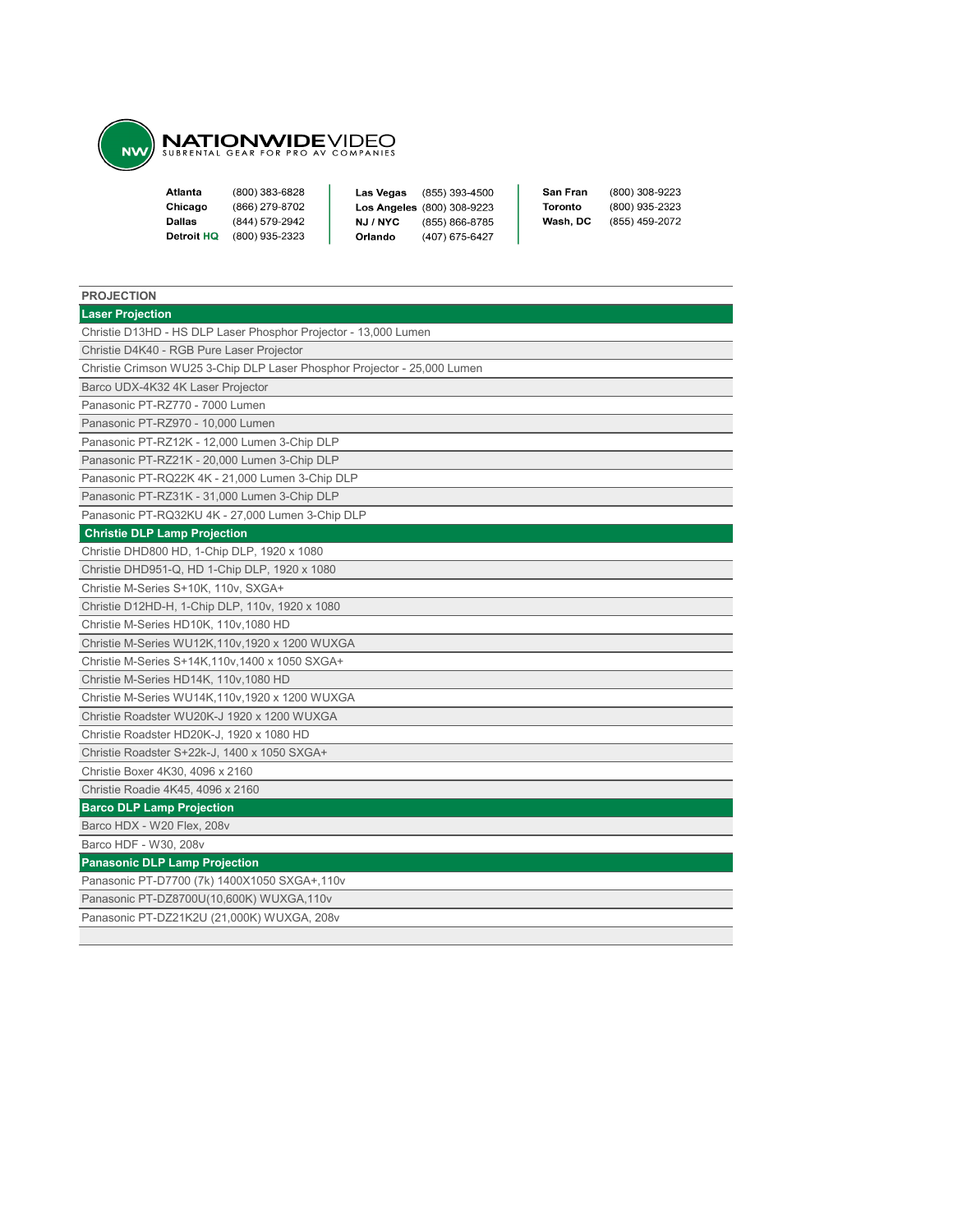

| Atlanta    | (800) 383-6828 | Las Vegas | (855) 393-4500                    | San Fran | (800) 308-9223 |
|------------|----------------|-----------|-----------------------------------|----------|----------------|
| Chicago    | (866) 279-8702 |           | <b>Los Angeles</b> (800) 308-9223 | Toronto  | (800) 935-2323 |
| Dallas     | (844) 579-2942 | NJ / NYC  | (855) 866-8785                    | Wash. DC | (855) 459-2072 |
| Detroit HQ | (800) 935-2323 | Orlando   | (407) 675-6427                    |          |                |
|            |                |           |                                   |          |                |

| <b>PROJECTION</b>                                                        |
|--------------------------------------------------------------------------|
| <b>Laser Projection</b>                                                  |
| Christie D13HD - HS DLP Laser Phosphor Projector - 13,000 Lumen          |
| Christie D4K40 - RGB Pure Laser Projector                                |
| Christie Crimson WU25 3-Chip DLP Laser Phosphor Projector - 25,000 Lumen |
| Barco UDX-4K32 4K Laser Projector                                        |
| Panasonic PT-RZ770 - 7000 Lumen                                          |
| Panasonic PT-RZ970 - 10,000 Lumen                                        |
| Panasonic PT-RZ12K - 12,000 Lumen 3-Chip DLP                             |
| Panasonic PT-RZ21K - 20,000 Lumen 3-Chip DLP                             |
| Panasonic PT-RQ22K 4K - 21,000 Lumen 3-Chip DLP                          |
| Panasonic PT-RZ31K - 31,000 Lumen 3-Chip DLP                             |
| Panasonic PT-RQ32KU 4K - 27,000 Lumen 3-Chip DLP                         |
| <b>Christie DLP Lamp Projection</b>                                      |
| Christie DHD800 HD, 1-Chip DLP, 1920 x 1080                              |
| Christie DHD951-Q, HD 1-Chip DLP, 1920 x 1080                            |
| Christie M-Series S+10K, 110v, SXGA+                                     |
| Christie D12HD-H, 1-Chip DLP, 110v, 1920 x 1080                          |
| Christie M-Series HD10K, 110v, 1080 HD                                   |
| Christie M-Series WU12K, 110v, 1920 x 1200 WUXGA                         |
| Christie M-Series S+14K, 110v, 1400 x 1050 SXGA+                         |
| Christie M-Series HD14K, 110v, 1080 HD                                   |
| Christie M-Series WU14K, 110v, 1920 x 1200 WUXGA                         |
| Christie Roadster WU20K-J 1920 x 1200 WUXGA                              |
| Christie Roadster HD20K-J, 1920 x 1080 HD                                |
| Christie Roadster S+22k-J, 1400 x 1050 SXGA+                             |
| Christie Boxer 4K30, 4096 x 2160                                         |
| Christie Roadie 4K45, 4096 x 2160                                        |
| <b>Barco DLP Lamp Projection</b>                                         |
| Barco HDX - W20 Flex, 208v                                               |
| Barco HDF - W30, 208v                                                    |
| <b>Panasonic DLP Lamp Projection</b>                                     |
| Panasonic PT-D7700 (7k) 1400X1050 SXGA+,110v                             |
| Panasonic PT-DZ8700U(10,600K) WUXGA,110v                                 |
| Panasonic PT-DZ21K2U (21,000K) WUXGA, 208v                               |
|                                                                          |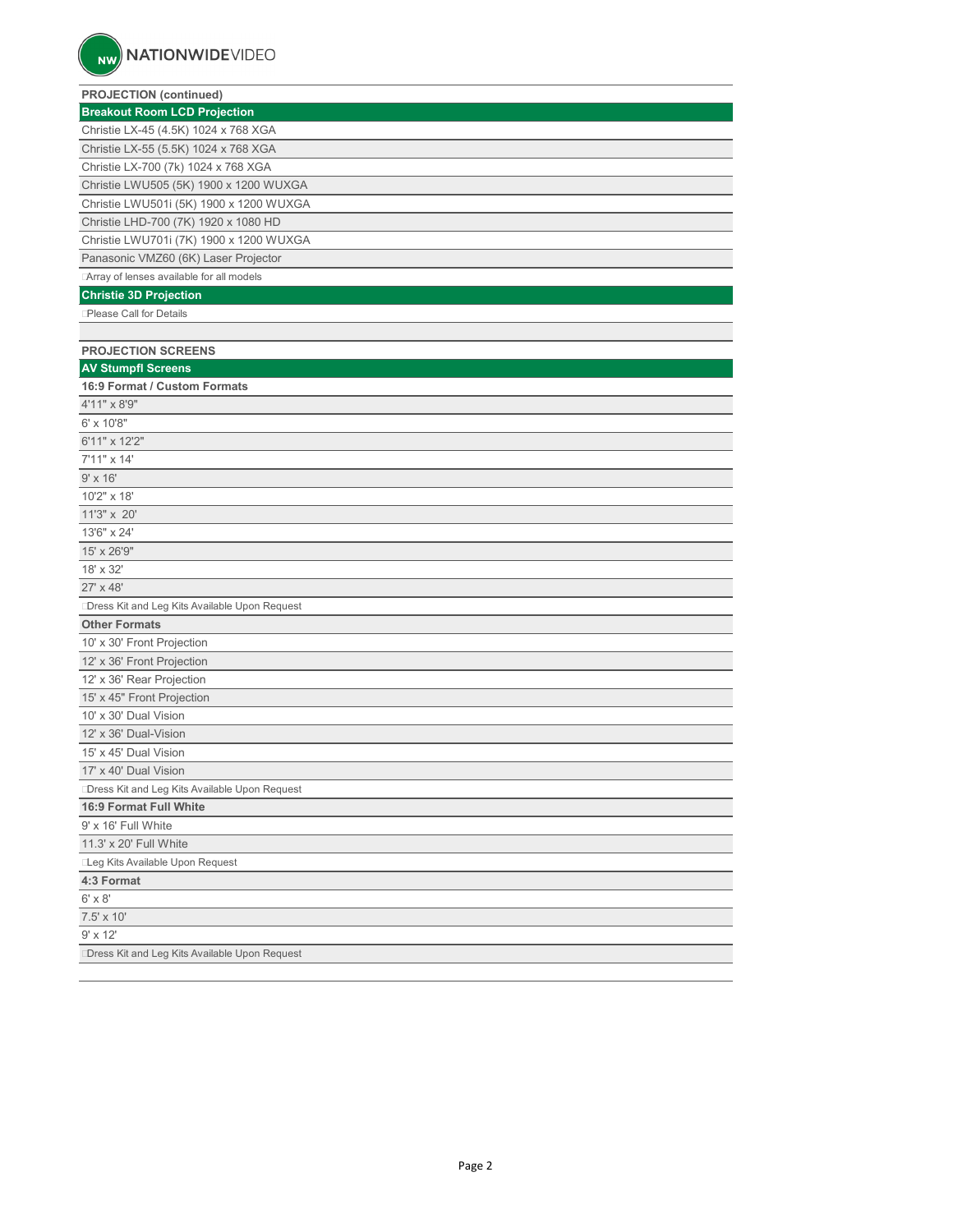| <b>PROJECTION (continued)</b>                 |
|-----------------------------------------------|
| <b>Breakout Room LCD Projection</b>           |
| Christie LX-45 (4.5K) 1024 x 768 XGA          |
| Christie LX-55 (5.5K) 1024 x 768 XGA          |
| Christie LX-700 (7k) 1024 x 768 XGA           |
| Christie LWU505 (5K) 1900 x 1200 WUXGA        |
| Christie LWU501i (5K) 1900 x 1200 WUXGA       |
| Christie LHD-700 (7K) 1920 x 1080 HD          |
| Christie LWU701i (7K) 1900 x 1200 WUXGA       |
| Panasonic VMZ60 (6K) Laser Projector          |
| Array of lenses available for all models      |
| <b>Christie 3D Projection</b>                 |
| Please Call for Details                       |
|                                               |
| <b>PROJECTION SCREENS</b>                     |
| <b>AV Stumpfl Screens</b>                     |
| 16:9 Format / Custom Formats                  |
| 4'11" x 8'9"                                  |
| 6' x 10'8"                                    |
| 6'11" x 12'2"                                 |
| 7'11" x 14'                                   |
| $9'$ x $16'$                                  |
| 10'2" x 18'                                   |
| 11'3" x 20'                                   |
| 13'6" x 24'                                   |
| 15' x 26'9"                                   |
| 18' x 32'                                     |
| 27' x 48'                                     |
| Dress Kit and Leg Kits Available Upon Request |
| <b>Other Formats</b>                          |
| 10' x 30' Front Projection                    |
| 12' x 36' Front Projection                    |
| 12' x 36' Rear Projection                     |
| 15' x 45" Front Projection                    |
| 10' x 30' Dual Vision                         |
| 12' x 36' Dual-Vision                         |
| 15' x 45' Dual Vision                         |
| 17' x 40' Dual Vision                         |
| Dress Kit and Leg Kits Available Upon Request |
| 16:9 Format Full White                        |
| 9' x 16' Full White                           |
| 11.3' x 20' Full White                        |
| Leg Kits Available Upon Request               |
| 4:3 Format                                    |
| 6' x 8'                                       |
| 7.5' x 10'                                    |
| 9' x 12'                                      |
| Dress Kit and Leg Kits Available Upon Request |
|                                               |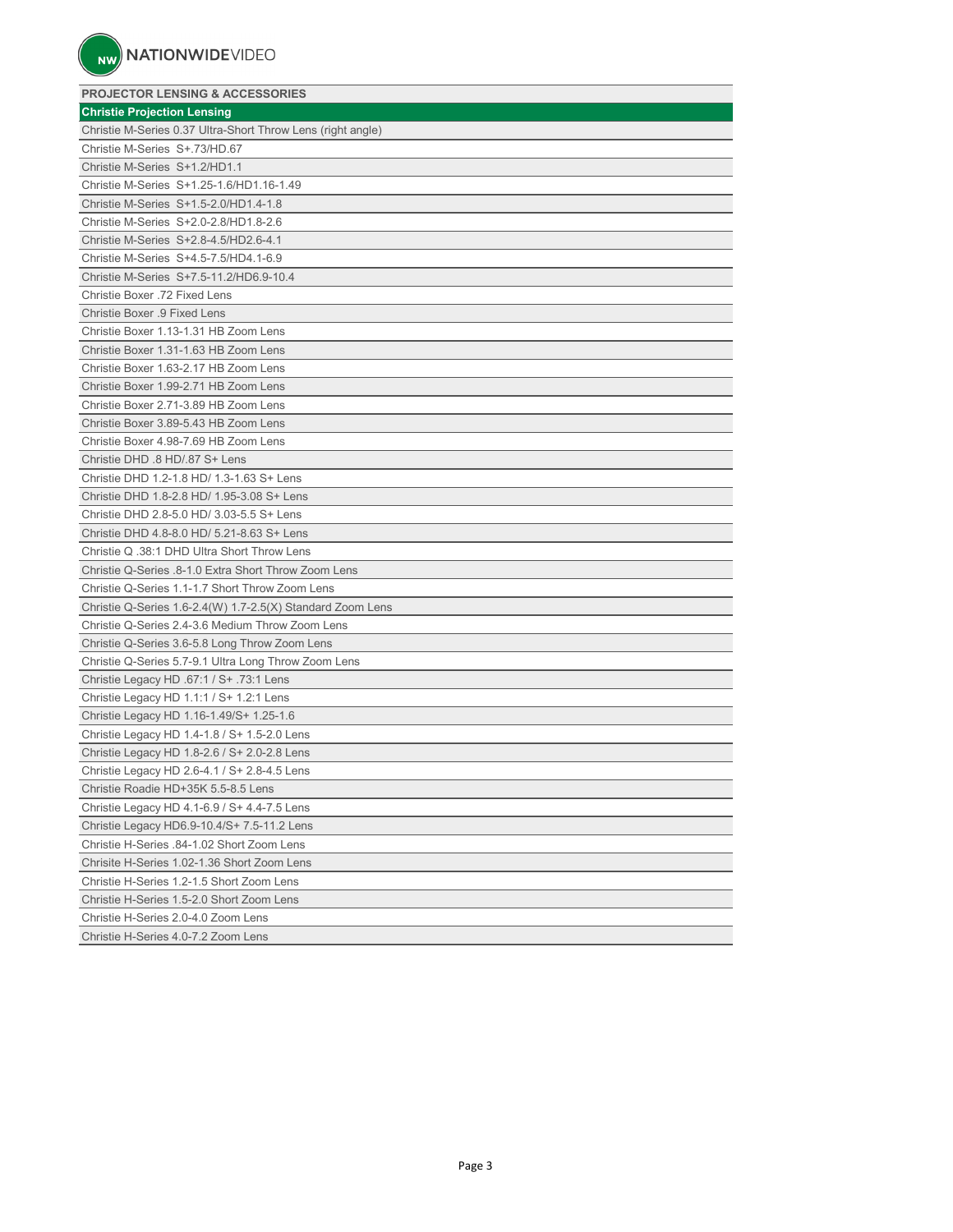# **PROJECTOR LENSING & ACCESSORIES Christie Projection Lensing** Christie M-Series 0.37 Ultra-Short Throw Lens (right angle) Christie M-Series S+.73/HD.67 Christie M-Series S+1.2/HD1.1 Christie M-Series S+1.25-1.6/HD1.16-1.49 Christie M-Series S+1.5-2.0/HD1.4-1.8 Christie M-Series S+2.0-2.8/HD1.8-2.6 Christie M-Series S+2.8-4.5/HD2.6-4.1 Christie M-Series S+4.5-7.5/HD4.1-6.9 Christie M-Series S+7.5-11.2/HD6.9-10.4 Christie Boxer .72 Fixed Lens Christie Boxer .9 Fixed Lens Christie Boxer 1.13-1.31 HB Zoom Lens Christie Boxer 1.31-1.63 HB Zoom Lens Christie Boxer 1.63-2.17 HB Zoom Lens Christie Boxer 1.99-2.71 HB Zoom Lens Christie Boxer 2.71-3.89 HB Zoom Lens Christie Boxer 3.89-5.43 HB Zoom Lens Christie Boxer 4.98-7.69 HB Zoom Lens Christie DHD .8 HD/.87 S+ Lens Christie DHD 1.2-1.8 HD/ 1.3-1.63 S+ Lens Christie DHD 1.8-2.8 HD/ 1.95-3.08 S+ Lens Christie DHD 2.8-5.0 HD/ 3.03-5.5 S+ Lens Christie DHD 4.8-8.0 HD/ 5.21-8.63 S+ Lens Christie Q .38:1 DHD Ultra Short Throw Lens Christie Q-Series .8-1.0 Extra Short Throw Zoom Lens Christie Q-Series 1.1-1.7 Short Throw Zoom Lens Christie Q-Series 1.6-2.4(W) 1.7-2.5(X) Standard Zoom Lens Christie Q-Series 2.4-3.6 Medium Throw Zoom Lens Christie Q-Series 3.6-5.8 Long Throw Zoom Lens Christie Q-Series 5.7-9.1 Ultra Long Throw Zoom Lens Christie Legacy HD .67:1 / S+ .73:1 Lens Christie Legacy HD 1.1:1 / S+ 1.2:1 Lens Christie Legacy HD 1.16-1.49/S+ 1.25-1.6 Christie Legacy HD 1.4-1.8 / S+ 1.5-2.0 Lens Christie Legacy HD 1.8-2.6 / S+ 2.0-2.8 Lens Christie Legacy HD 2.6-4.1 / S+ 2.8-4.5 Lens Christie Roadie HD+35K 5.5-8.5 Lens Christie Legacy HD 4.1-6.9 / S+ 4.4-7.5 Lens Christie Legacy HD6.9-10.4/S+ 7.5-11.2 Lens Christie H-Series .84-1.02 Short Zoom Lens Chrisite H-Series 1.02-1.36 Short Zoom Lens Christie H-Series 1.2-1.5 Short Zoom Lens Christie H-Series 1.5-2.0 Short Zoom Lens Christie H-Series 2.0-4.0 Zoom Lens Christie H-Series 4.0-7.2 Zoom Lens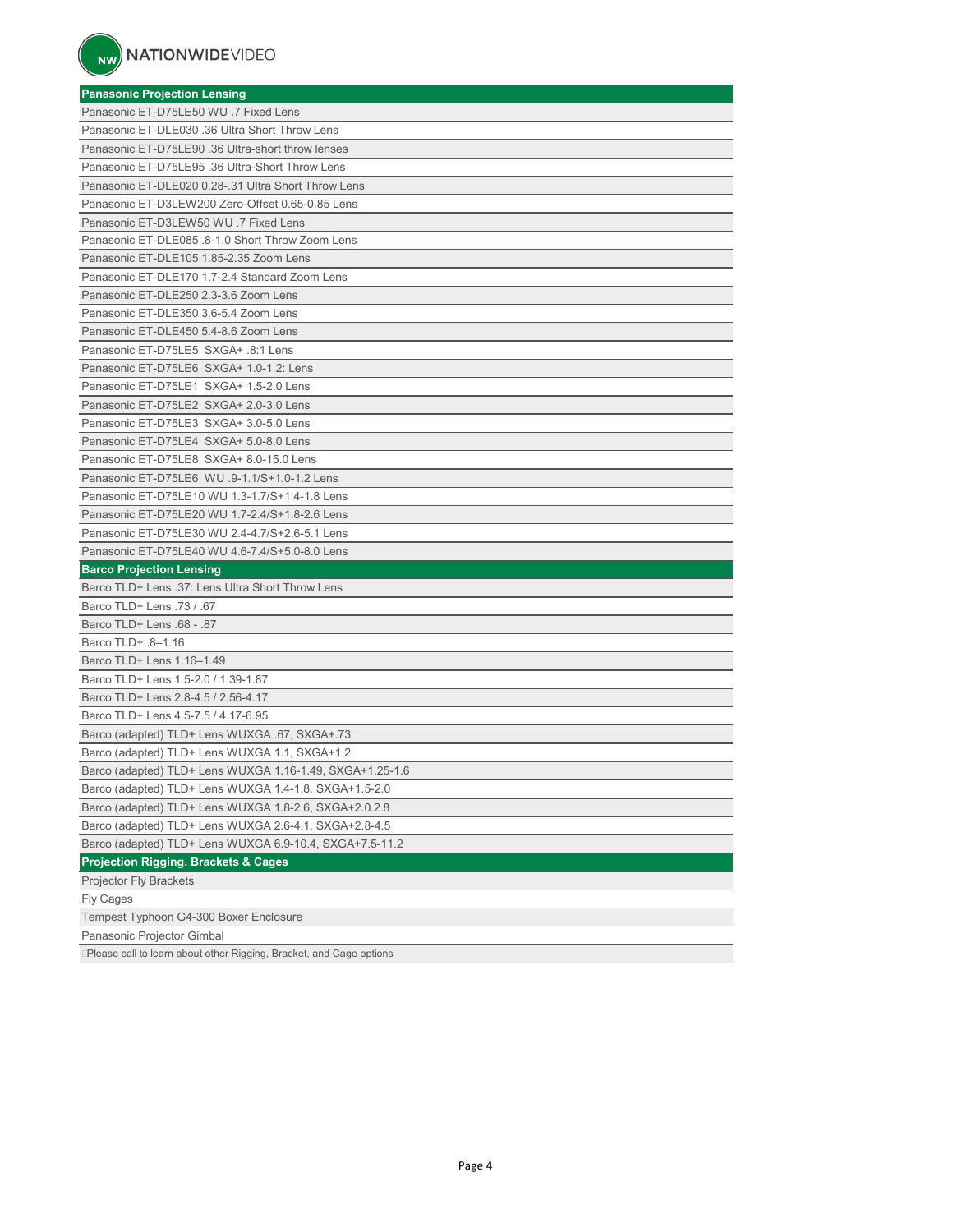| <b>Panasonic Projection Lensing</b>                                 |
|---------------------------------------------------------------------|
| Panasonic ET-D75LE50 WU .7 Fixed Lens                               |
| Panasonic ET-DLE030 .36 Ultra Short Throw Lens                      |
| Panasonic ET-D75LE90 .36 Ultra-short throw lenses                   |
| Panasonic ET-D75LE95 .36 Ultra-Short Throw Lens                     |
| Panasonic ET-DLE020 0.28-.31 Ultra Short Throw Lens                 |
| Panasonic ET-D3LEW200 Zero-Offset 0.65-0.85 Lens                    |
| Panasonic ET-D3LEW50 WU .7 Fixed Lens                               |
| Panasonic ET-DLE085 .8-1.0 Short Throw Zoom Lens                    |
| Panasonic ET-DLE105 1.85-2.35 Zoom Lens                             |
| Panasonic ET-DLE170 1.7-2.4 Standard Zoom Lens                      |
| Panasonic ET-DLE250 2.3-3.6 Zoom Lens                               |
| Panasonic ET-DLE350 3.6-5.4 Zoom Lens                               |
| Panasonic ET-DLE450 5.4-8.6 Zoom Lens                               |
| Panasonic ET-D75LE5 SXGA+ .8:1 Lens                                 |
| Panasonic ET-D75LE6 SXGA+ 1.0-1.2: Lens                             |
| Panasonic ET-D75LE1 SXGA+ 1.5-2.0 Lens                              |
| Panasonic ET-D75LE2 SXGA+ 2.0-3.0 Lens                              |
| Panasonic ET-D75LE3 SXGA+ 3.0-5.0 Lens                              |
| Panasonic ET-D75LE4 SXGA+ 5.0-8.0 Lens                              |
| Panasonic ET-D75LE8 SXGA+ 8.0-15.0 Lens                             |
| Panasonic ET-D75LE6 WU .9-1.1/S+1.0-1.2 Lens                        |
| Panasonic ET-D75LE10 WU 1.3-1.7/S+1.4-1.8 Lens                      |
| Panasonic ET-D75LE20 WU 1.7-2.4/S+1.8-2.6 Lens                      |
| Panasonic ET-D75LE30 WU 2.4-4.7/S+2.6-5.1 Lens                      |
| Panasonic ET-D75LE40 WU 4.6-7.4/S+5.0-8.0 Lens                      |
| <b>Barco Projection Lensing</b>                                     |
| Barco TLD+ Lens .37: Lens Ultra Short Throw Lens                    |
| Barco TLD+ Lens .73 / .67                                           |
| Barco TLD+ Lens .68 - .87                                           |
| Barco TLD+ .8-1.16                                                  |
| Barco TLD+ Lens 1.16-1.49                                           |
| Barco TLD+ Lens 1.5-2.0 / 1.39-1.87                                 |
| Barco TLD+ Lens 2.8-4.5 / 2.56-4.17                                 |
| Barco TLD+ Lens 4.5-7.5 / 4.17-6.95                                 |
| Barco (adapted) TLD+ Lens WUXGA .67, SXGA+.73                       |
| Barco (adapted) TLD+ Lens WUXGA 1.1, SXGA+1.2                       |
| Barco (adapted) TLD+ Lens WUXGA 1.16-1.49, SXGA+1.25-1.6            |
| Barco (adapted) TLD+ Lens WUXGA 1.4-1.8, SXGA+1.5-2.0               |
| Barco (adapted) TLD+ Lens WUXGA 1.8-2.6, SXGA+2.0.2.8               |
| Barco (adapted) TLD+ Lens WUXGA 2.6-4.1, SXGA+2.8-4.5               |
| Barco (adapted) TLD+ Lens WUXGA 6.9-10.4, SXGA+7.5-11.2             |
| <b>Projection Rigging, Brackets &amp; Cages</b>                     |
| Projector Fly Brackets                                              |
| <b>Fly Cages</b>                                                    |
| Tempest Typhoon G4-300 Boxer Enclosure                              |
| Panasonic Projector Gimbal                                          |
| Please call to learn about other Rigging, Bracket, and Cage options |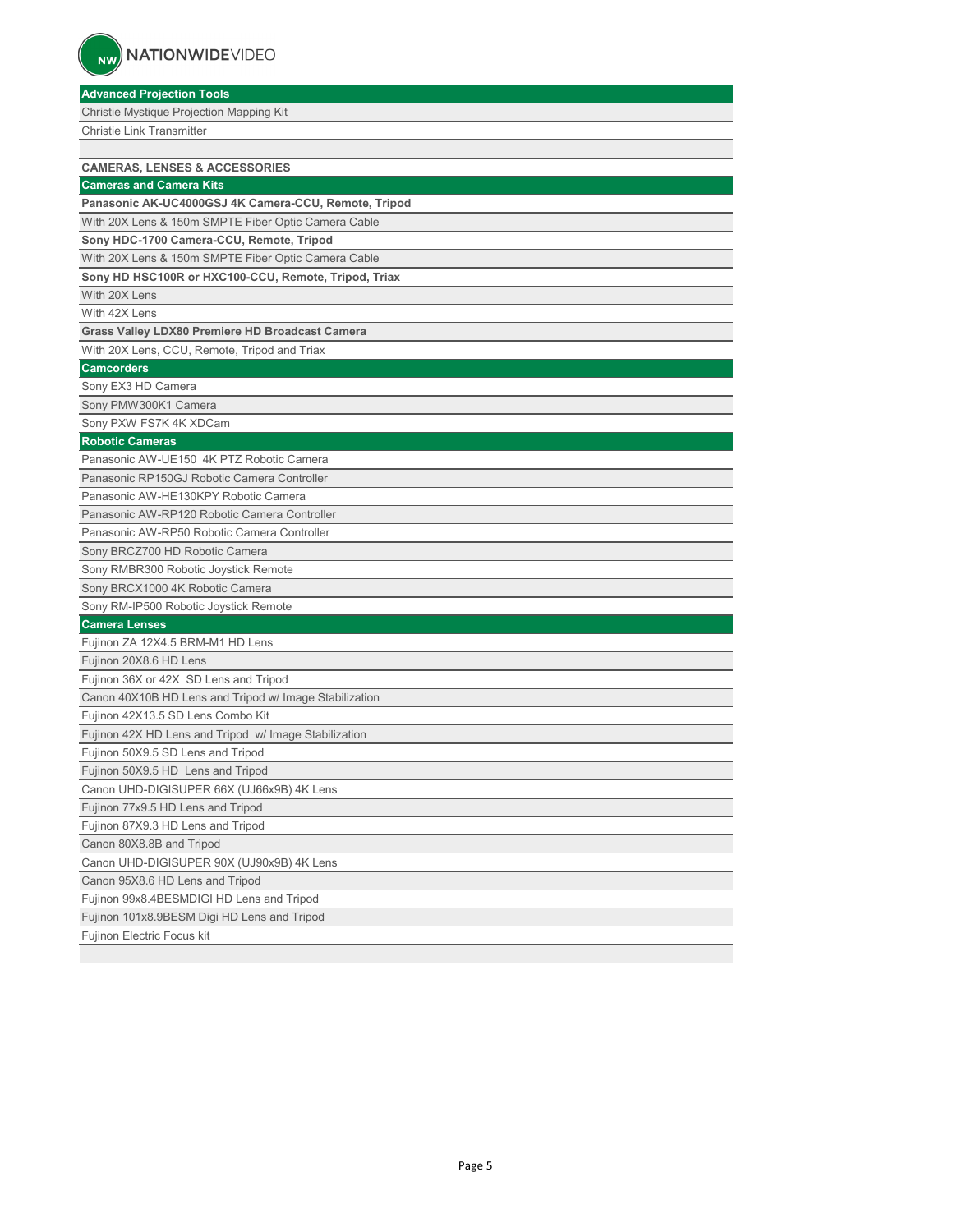**Advanced Projection Tools** Christie Mystique Projection Mapping Kit Christie Link Transmitter **CAMERAS, LENSES & ACCESSORIES Cameras and Camera Kits Panasonic AK-UC4000GSJ 4K Camera-CCU, Remote, Tripod** With 20X Lens & 150m SMPTE Fiber Optic Camera Cable **Sony HDC-1700 Camera-CCU, Remote, Tripod** With 20X Lens & 150m SMPTE Fiber Optic Camera Cable **Sony HD HSC100R or HXC100-CCU, Remote, Tripod, Triax**  With 20X Lens With 42X Lens **Grass Valley LDX80 Premiere HD Broadcast Camera** With 20X Lens, CCU, Remote, Tripod and Triax **Camcorders** Sony EX3 HD Camera Sony PMW300K1 Camera Sony PXW FS7K 4K XDCam **Robotic Cameras** Panasonic AW-UE150 4K PTZ Robotic Camera Panasonic RP150GJ Robotic Camera Controller Panasonic AW-HE130KPY Robotic Camera Panasonic AW-RP120 Robotic Camera Controller Panasonic AW-RP50 Robotic Camera Controller Sony BRCZ700 HD Robotic Camera Sony RMBR300 Robotic Joystick Remote Sony BRCX1000 4K Robotic Camera Sony RM-IP500 Robotic Joystick Remote **Camera Lenses** Fujinon ZA 12X4.5 BRM-M1 HD Lens Fujinon 20X8.6 HD Lens Fujinon 36X or 42X SD Lens and Tripod Canon 40X10B HD Lens and Tripod w/ Image Stabilization Fujinon 42X13.5 SD Lens Combo Kit Fujinon 42X HD Lens and Tripod w/ Image Stabilization Fujinon 50X9.5 SD Lens and Tripod Fujinon 50X9.5 HD Lens and Tripod Canon UHD-DIGISUPER 66X (UJ66x9B) 4K Lens Fujinon 77x9.5 HD Lens and Tripod Fujinon 87X9.3 HD Lens and Tripod Canon 80X8.8B and Tripod Canon UHD-DIGISUPER 90X (UJ90x9B) 4K Lens Canon 95X8.6 HD Lens and Tripod Fujinon 99x8.4BESMDIGI HD Lens and Tripod Fujinon 101x8.9BESM Digi HD Lens and Tripod Fujinon Electric Focus kit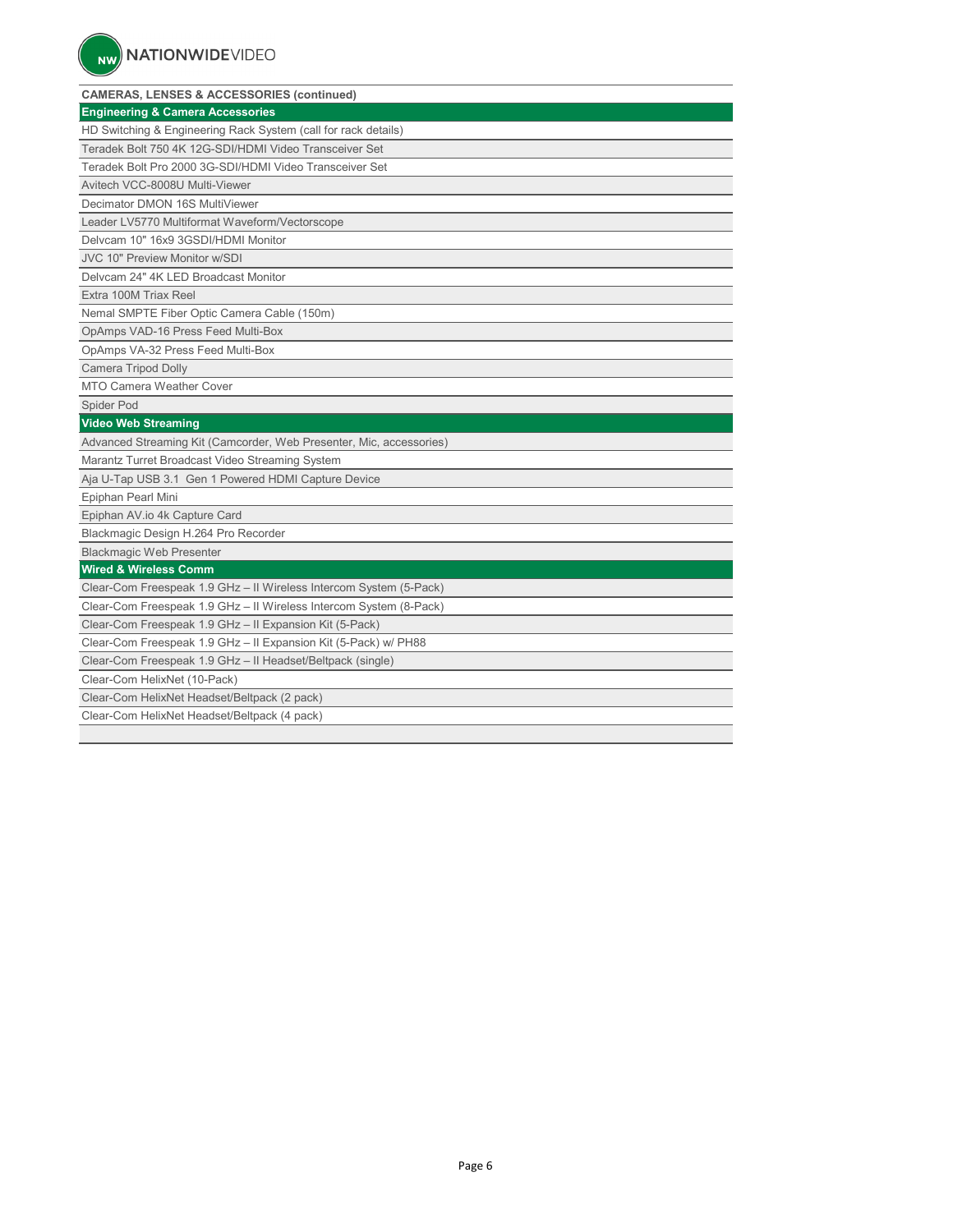| <b>CAMERAS, LENSES &amp; ACCESSORIES (continued)</b>                |
|---------------------------------------------------------------------|
| <b>Engineering &amp; Camera Accessories</b>                         |
| HD Switching & Engineering Rack System (call for rack details)      |
| Teradek Bolt 750 4K 12G-SDI/HDMI Video Transceiver Set              |
| Teradek Bolt Pro 2000 3G-SDI/HDMI Video Transceiver Set             |
| Avitech VCC-8008U Multi-Viewer                                      |
| Decimator DMON 16S MultiViewer                                      |
| Leader LV5770 Multiformat Waveform/Vectorscope                      |
| Delvcam 10" 16x9 3GSDI/HDMI Monitor                                 |
| <b>JVC 10" Preview Monitor w/SDI</b>                                |
| Delvcam 24" 4K LED Broadcast Monitor                                |
| Extra 100M Triax Reel                                               |
| Nemal SMPTE Fiber Optic Camera Cable (150m)                         |
| OpAmps VAD-16 Press Feed Multi-Box                                  |
| OpAmps VA-32 Press Feed Multi-Box                                   |
| <b>Camera Tripod Dolly</b>                                          |
| <b>MTO Camera Weather Cover</b>                                     |
| Spider Pod                                                          |
| <b>Video Web Streaming</b>                                          |
| Advanced Streaming Kit (Camcorder, Web Presenter, Mic, accessories) |
| Marantz Turret Broadcast Video Streaming System                     |
| Aja U-Tap USB 3.1 Gen 1 Powered HDMI Capture Device                 |
| Epiphan Pearl Mini                                                  |
| Epiphan AV.io 4k Capture Card                                       |
| Blackmagic Design H.264 Pro Recorder                                |
| <b>Blackmagic Web Presenter</b>                                     |
| <b>Wired &amp; Wireless Comm</b>                                    |
| Clear-Com Freespeak 1.9 GHz - II Wireless Intercom System (5-Pack)  |
| Clear-Com Freespeak 1.9 GHz - II Wireless Intercom System (8-Pack)  |
| Clear-Com Freespeak 1.9 GHz - II Expansion Kit (5-Pack)             |
| Clear-Com Freespeak 1.9 GHz - II Expansion Kit (5-Pack) w/ PH88     |
| Clear-Com Freespeak 1.9 GHz - II Headset/Beltpack (single)          |
| Clear-Com HelixNet (10-Pack)                                        |
| Clear-Com HelixNet Headset/Beltpack (2 pack)                        |
| Clear-Com HelixNet Headset/Beltpack (4 pack)                        |
|                                                                     |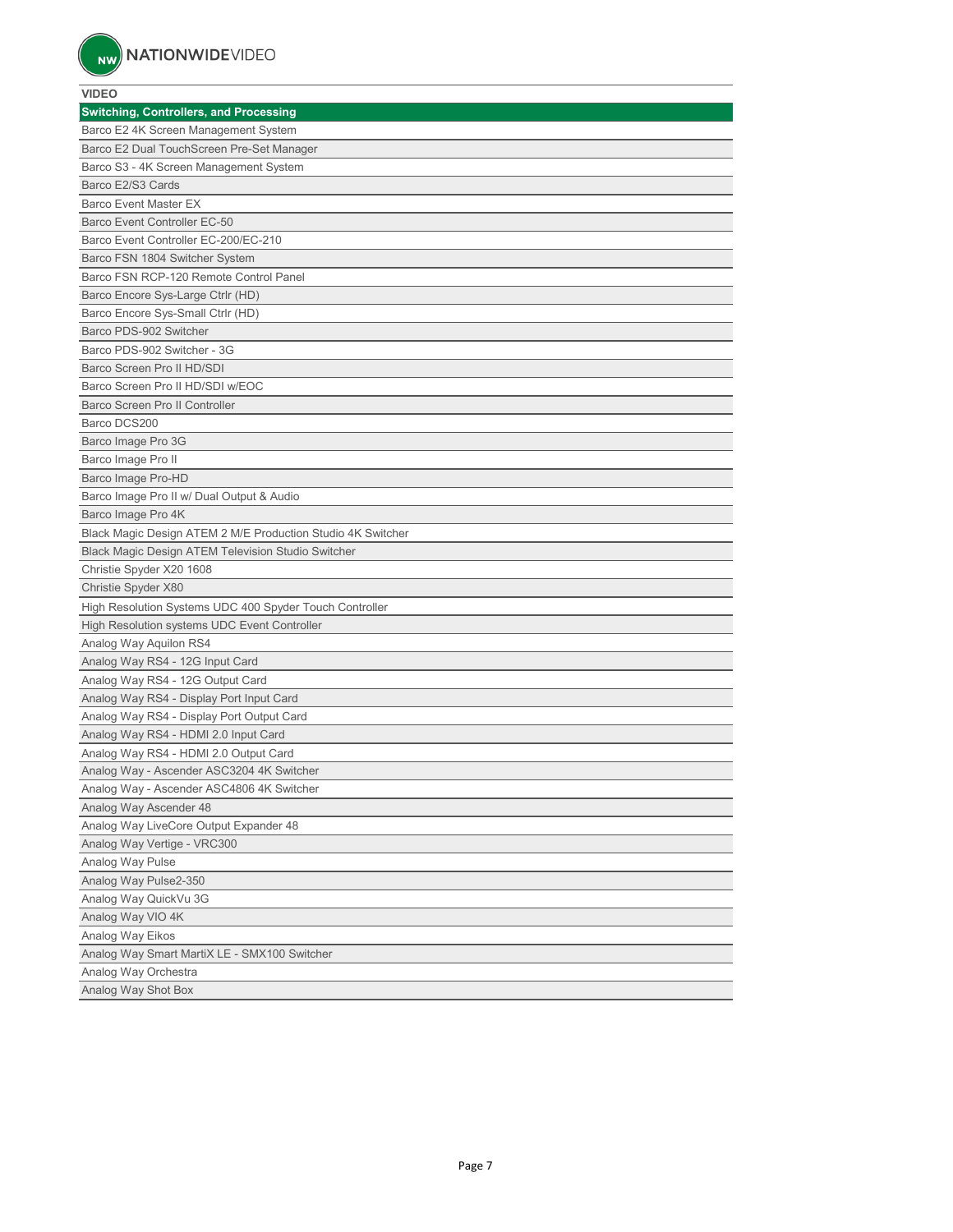#### **VIDEO**

| <b>Switching, Controllers, and Processing</b>               |
|-------------------------------------------------------------|
| Barco E2 4K Screen Management System                        |
| Barco E2 Dual TouchScreen Pre-Set Manager                   |
| Barco S3 - 4K Screen Management System                      |
| Barco E2/S3 Cards                                           |
| <b>Barco Event Master EX</b>                                |
| Barco Event Controller EC-50                                |
| Barco Event Controller EC-200/EC-210                        |
| Barco FSN 1804 Switcher System                              |
| Barco FSN RCP-120 Remote Control Panel                      |
| Barco Encore Sys-Large Ctrlr (HD)                           |
| Barco Encore Sys-Small Ctrlr (HD)                           |
| Barco PDS-902 Switcher                                      |
| Barco PDS-902 Switcher - 3G                                 |
| Barco Screen Pro II HD/SDI                                  |
| Barco Screen Pro II HD/SDI w/EOC                            |
| Barco Screen Pro II Controller                              |
| Barco DCS200                                                |
| Barco Image Pro 3G                                          |
| Barco Image Pro II                                          |
| Barco Image Pro-HD                                          |
| Barco Image Pro II w/ Dual Output & Audio                   |
| Barco Image Pro 4K                                          |
| Black Magic Design ATEM 2 M/E Production Studio 4K Switcher |
| Black Magic Design ATEM Television Studio Switcher          |
| Christie Spyder X20 1608                                    |
| Christie Spyder X80                                         |
| High Resolution Systems UDC 400 Spyder Touch Controller     |
| High Resolution systems UDC Event Controller                |
| Analog Way Aquilon RS4                                      |
| Analog Way RS4 - 12G Input Card                             |
| Analog Way RS4 - 12G Output Card                            |
| Analog Way RS4 - Display Port Input Card                    |
| Analog Way RS4 - Display Port Output Card                   |
| Analog Way RS4 - HDMI 2.0 Input Card                        |
| Analog Way RS4 - HDMI 2.0 Output Card                       |
| Analog Way - Ascender ASC3204 4K Switcher                   |
| Analog Way - Ascender ASC4806 4K Switcher                   |
| Analog Way Ascender 48                                      |
| Analog Way LiveCore Output Expander 48                      |
| Analog Way Vertige - VRC300                                 |
| Analog Way Pulse                                            |
| Analog Way Pulse2-350                                       |
| Analog Way QuickVu 3G                                       |
| Analog Way VIO 4K                                           |
| Analog Way Eikos                                            |
| Analog Way Smart MartiX LE - SMX100 Switcher                |
| Analog Way Orchestra                                        |
| Analog Way Shot Box                                         |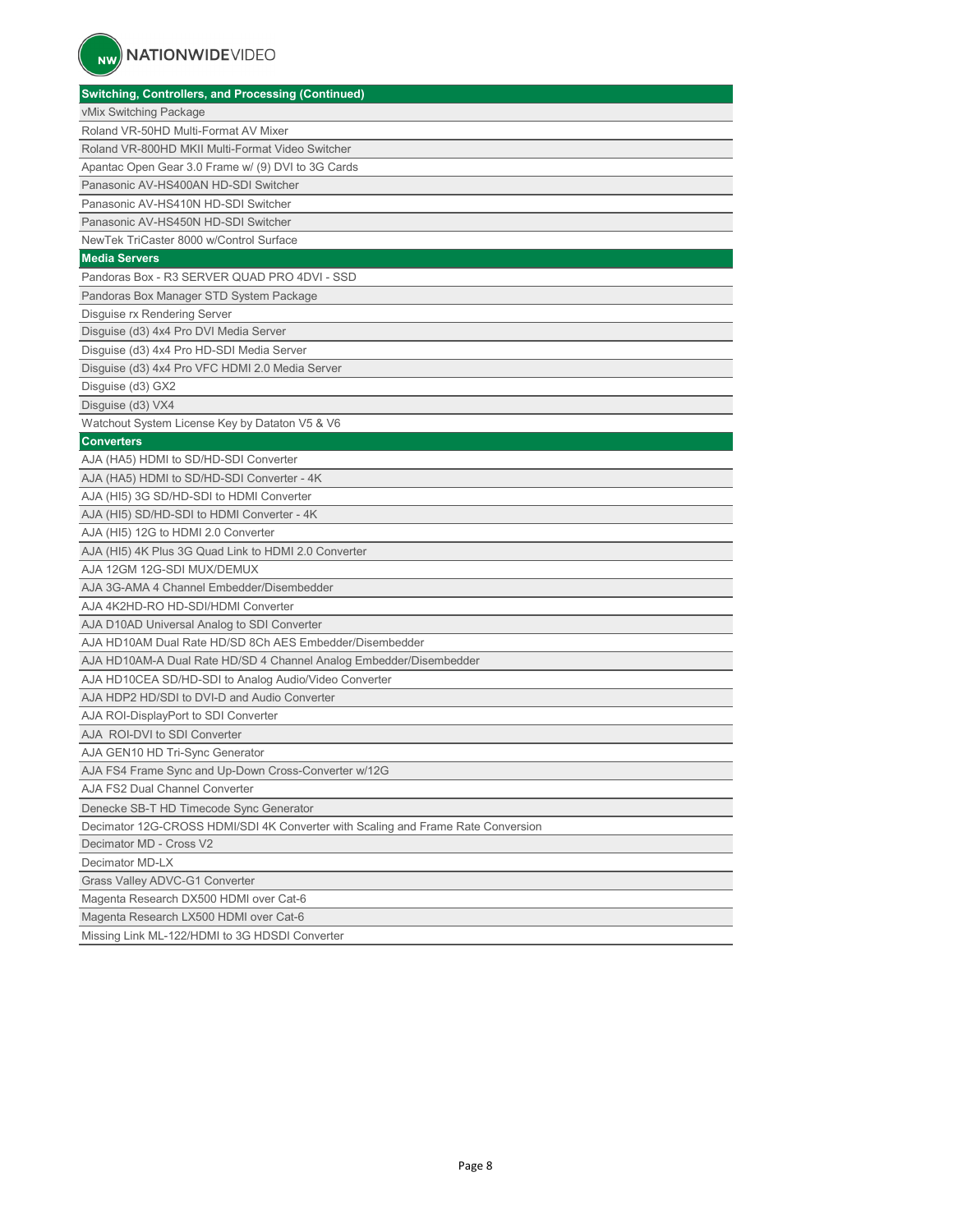| <b>Switching, Controllers, and Processing (Continued)</b>                        |
|----------------------------------------------------------------------------------|
| vMix Switching Package                                                           |
| Roland VR-50HD Multi-Format AV Mixer                                             |
| Roland VR-800HD MKII Multi-Format Video Switcher                                 |
| Apantac Open Gear 3.0 Frame w/ (9) DVI to 3G Cards                               |
| Panasonic AV-HS400AN HD-SDI Switcher                                             |
| Panasonic AV-HS410N HD-SDI Switcher                                              |
| Panasonic AV-HS450N HD-SDI Switcher                                              |
| NewTek TriCaster 8000 w/Control Surface                                          |
| <b>Media Servers</b>                                                             |
| Pandoras Box - R3 SERVER QUAD PRO 4DVI - SSD                                     |
| Pandoras Box Manager STD System Package                                          |
| Disguise rx Rendering Server                                                     |
| Disguise (d3) 4x4 Pro DVI Media Server                                           |
| Disguise (d3) 4x4 Pro HD-SDI Media Server                                        |
| Disguise (d3) 4x4 Pro VFC HDMI 2.0 Media Server                                  |
| Disguise (d3) GX2                                                                |
| Disguise (d3) VX4                                                                |
| Watchout System License Key by Dataton V5 & V6                                   |
| <b>Converters</b>                                                                |
| AJA (HA5) HDMI to SD/HD-SDI Converter                                            |
| AJA (HA5) HDMI to SD/HD-SDI Converter - 4K                                       |
| AJA (HI5) 3G SD/HD-SDI to HDMI Converter                                         |
| AJA (HI5) SD/HD-SDI to HDMI Converter - 4K                                       |
| AJA (HI5) 12G to HDMI 2.0 Converter                                              |
| AJA (HI5) 4K Plus 3G Quad Link to HDMI 2.0 Converter                             |
| AJA 12GM 12G-SDI MUX/DEMUX                                                       |
| AJA 3G-AMA 4 Channel Embedder/Disembedder                                        |
| AJA 4K2HD-RO HD-SDI/HDMI Converter                                               |
| AJA D10AD Universal Analog to SDI Converter                                      |
| AJA HD10AM Dual Rate HD/SD 8Ch AES Embedder/Disembedder                          |
| AJA HD10AM-A Dual Rate HD/SD 4 Channel Analog Embedder/Disembedder               |
| AJA HD10CEA SD/HD-SDI to Analog Audio/Video Converter                            |
| AJA HDP2 HD/SDI to DVI-D and Audio Converter                                     |
| AJA ROI-DisplayPort to SDI Converter                                             |
| AJA ROI-DVI to SDI Converter                                                     |
| AJA GEN10 HD Tri-Sync Generator                                                  |
| AJA FS4 Frame Sync and Up-Down Cross-Converter w/12G                             |
| AJA FS2 Dual Channel Converter                                                   |
| Denecke SB-T HD Timecode Sync Generator                                          |
| Decimator 12G-CROSS HDMI/SDI 4K Converter with Scaling and Frame Rate Conversion |
| Decimator MD - Cross V2                                                          |
| Decimator MD-LX                                                                  |
| Grass Valley ADVC-G1 Converter                                                   |
| Magenta Research DX500 HDMI over Cat-6                                           |
| Magenta Research LX500 HDMI over Cat-6                                           |
| Missing Link ML-122/HDMI to 3G HDSDI Converter                                   |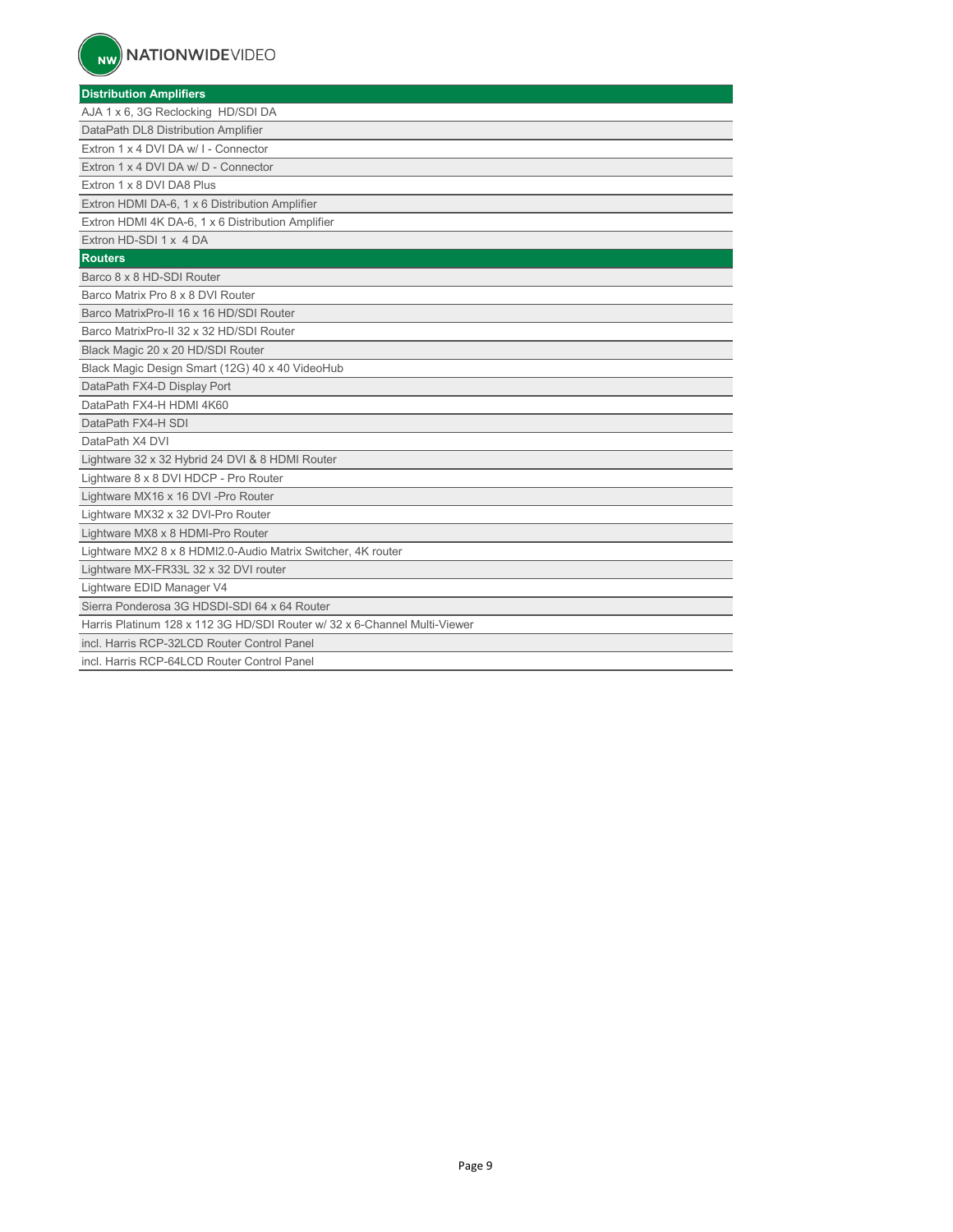| <b>Distribution Amplifiers</b>                                            |
|---------------------------------------------------------------------------|
| AJA 1 x 6, 3G Reclocking HD/SDI DA                                        |
| DataPath DL8 Distribution Amplifier                                       |
| Extron 1 x 4 DVI DA w/ I - Connector                                      |
| Extron 1 x 4 DVI DA w/ D - Connector                                      |
| Extron 1 x 8 DVI DA8 Plus                                                 |
| Extron HDMI DA-6, 1 x 6 Distribution Amplifier                            |
| Extron HDMI 4K DA-6, 1 x 6 Distribution Amplifier                         |
| Extron HD-SDI 1 x 4 DA                                                    |
| <b>Routers</b>                                                            |
| Barco 8 x 8 HD-SDI Router                                                 |
| Barco Matrix Pro 8 x 8 DVI Router                                         |
| Barco MatrixPro-II 16 x 16 HD/SDI Router                                  |
| Barco MatrixPro-II 32 x 32 HD/SDI Router                                  |
| Black Magic 20 x 20 HD/SDI Router                                         |
| Black Magic Design Smart (12G) 40 x 40 VideoHub                           |
| DataPath FX4-D Display Port                                               |
| DataPath FX4-H HDMI 4K60                                                  |
| DataPath FX4-H SDI                                                        |
| DataPath X4 DVI                                                           |
| Lightware 32 x 32 Hybrid 24 DVI & 8 HDMI Router                           |
| Lightware 8 x 8 DVI HDCP - Pro Router                                     |
| Lightware MX16 x 16 DVI -Pro Router                                       |
| Lightware MX32 x 32 DVI-Pro Router                                        |
| Lightware MX8 x 8 HDMI-Pro Router                                         |
| Lightware MX2 8 x 8 HDMI2.0-Audio Matrix Switcher, 4K router              |
| Lightware MX-FR33L 32 x 32 DVI router                                     |
| Lightware EDID Manager V4                                                 |
| Sierra Ponderosa 3G HDSDI-SDI 64 x 64 Router                              |
| Harris Platinum 128 x 112 3G HD/SDI Router w/ 32 x 6-Channel Multi-Viewer |
| incl. Harris RCP-32LCD Router Control Panel                               |
| incl. Harris RCP-64LCD Router Control Panel                               |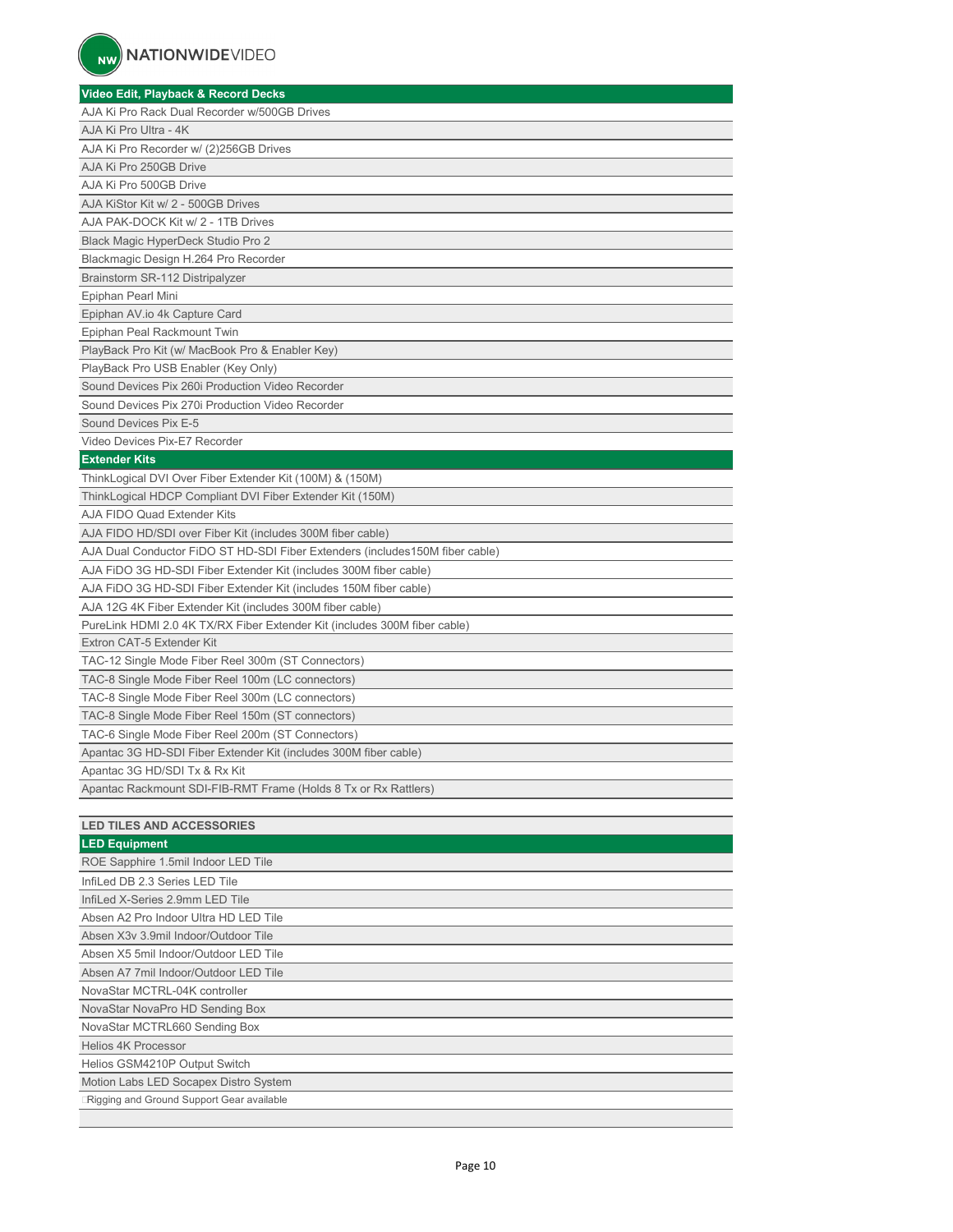| Video Edit, Playback & Record Decks                                          |
|------------------------------------------------------------------------------|
| AJA Ki Pro Rack Dual Recorder w/500GB Drives                                 |
| AJA Ki Pro Ultra - 4K                                                        |
| AJA Ki Pro Recorder w/ (2)256GB Drives                                       |
| AJA Ki Pro 250GB Drive                                                       |
| AJA Ki Pro 500GB Drive                                                       |
| AJA KiStor Kit w/ 2 - 500GB Drives                                           |
| AJA PAK-DOCK Kit w/ 2 - 1TB Drives                                           |
| Black Magic HyperDeck Studio Pro 2                                           |
| Blackmagic Design H.264 Pro Recorder                                         |
| Brainstorm SR-112 Distripalyzer                                              |
| Epiphan Pearl Mini                                                           |
| Epiphan AV.io 4k Capture Card                                                |
| Epiphan Peal Rackmount Twin                                                  |
| PlayBack Pro Kit (w/ MacBook Pro & Enabler Key)                              |
| PlayBack Pro USB Enabler (Key Only)                                          |
| Sound Devices Pix 260i Production Video Recorder                             |
| Sound Devices Pix 270i Production Video Recorder                             |
| Sound Devices Pix E-5                                                        |
| Video Devices Pix-E7 Recorder                                                |
| <b>Extender Kits</b>                                                         |
| ThinkLogical DVI Over Fiber Extender Kit (100M) & (150M)                     |
| ThinkLogical HDCP Compliant DVI Fiber Extender Kit (150M)                    |
| AJA FIDO Quad Extender Kits                                                  |
| AJA FIDO HD/SDI over Fiber Kit (includes 300M fiber cable)                   |
| AJA Dual Conductor FiDO ST HD-SDI Fiber Extenders (includes150M fiber cable) |
| AJA FIDO 3G HD-SDI Fiber Extender Kit (includes 300M fiber cable)            |
| AJA FIDO 3G HD-SDI Fiber Extender Kit (includes 150M fiber cable)            |
| AJA 12G 4K Fiber Extender Kit (includes 300M fiber cable)                    |
| PureLink HDMI 2.0 4K TX/RX Fiber Extender Kit (includes 300M fiber cable)    |
| Extron CAT-5 Extender Kit                                                    |
| TAC-12 Single Mode Fiber Reel 300m (ST Connectors)                           |
| TAC-8 Single Mode Fiber Reel 100m (LC connectors)                            |
| TAC-8 Single Mode Fiber Reel 300m (LC connectors)                            |
| TAC-8 Single Mode Fiber Reel 150m (ST connectors)                            |
| TAC-6 Single Mode Fiber Reel 200m (ST Connectors)                            |
| Apantac 3G HD-SDI Fiber Extender Kit (includes 300M fiber cable)             |
| Apantac 3G HD/SDI Tx & Rx Kit                                                |
| Apantac Rackmount SDI-FIB-RMT Frame (Holds 8 Tx or Rx Rattlers)              |
|                                                                              |
| <b>LED TILES AND ACCESSORIES</b>                                             |
| <b>LED Equipment</b>                                                         |
|                                                                              |

| ROE Sapphire 1.5mil Indoor LED Tile       |  |
|-------------------------------------------|--|
| InfiLed DB 2.3 Series LED Tile            |  |
| InfiLed X-Series 2.9mm LED Tile           |  |
| Absen A2 Pro Indoor Ultra HD LED Tile     |  |
| Absen X3y 3.9mil Indoor/Outdoor Tile      |  |
| Absen X5 5mil Indoor/Outdoor LED Tile     |  |
| Absen A7 7mil Indoor/Outdoor LED Tile     |  |
| NovaStar MCTRL-04K controller             |  |
| NovaStar NovaPro HD Sending Box           |  |
| NovaStar MCTRL660 Sending Box             |  |
| <b>Helios 4K Processor</b>                |  |
| Helios GSM4210P Output Switch             |  |
| Motion Labs LED Socapex Distro System     |  |
| Rigging and Ground Support Gear available |  |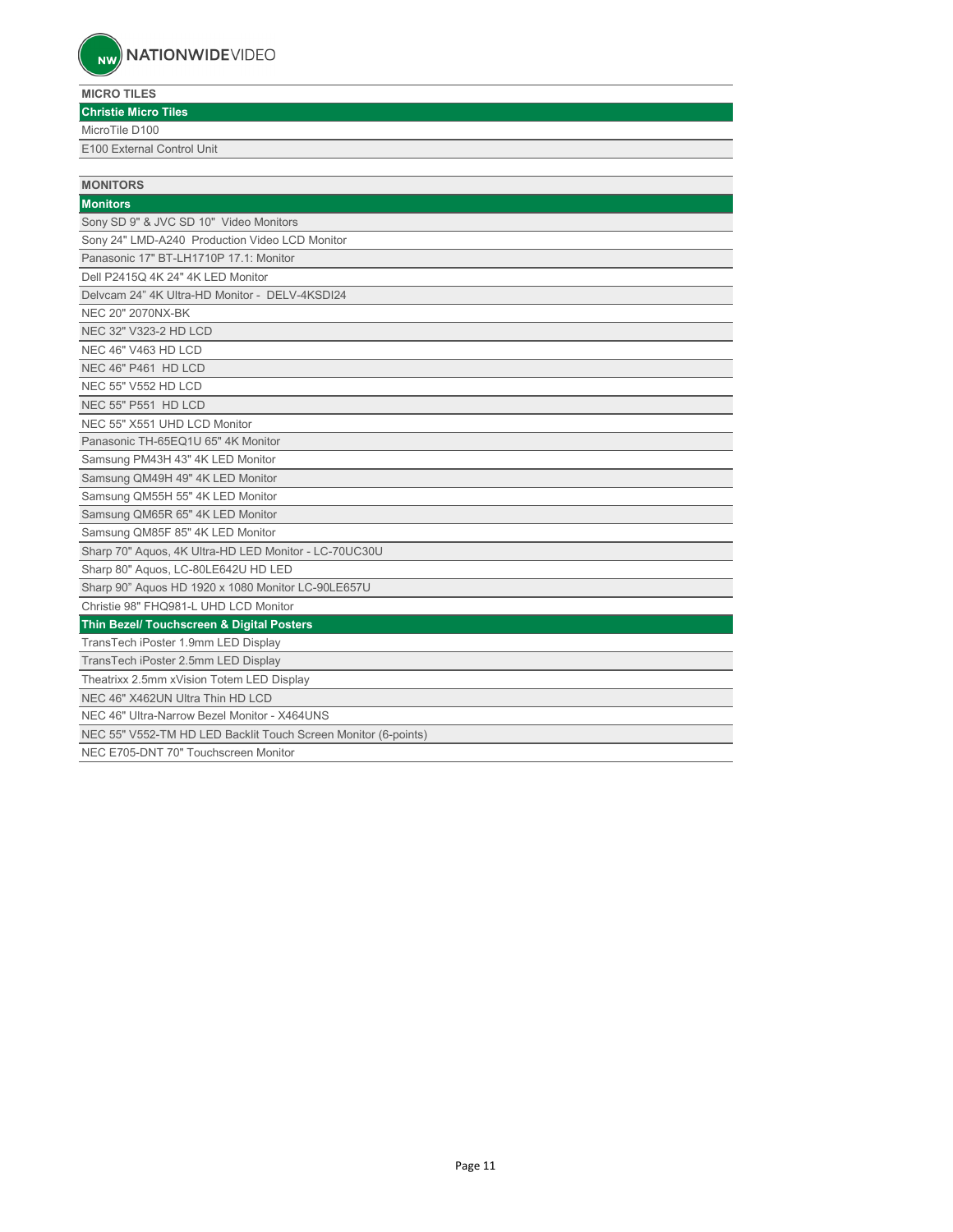### **MICRO TILES**

| <b>Christie Micro Tiles</b>                                    |  |
|----------------------------------------------------------------|--|
| MicroTile D100                                                 |  |
| E100 External Control Unit                                     |  |
|                                                                |  |
| <b>MONITORS</b>                                                |  |
| <b>Monitors</b>                                                |  |
| Sony SD 9" & JVC SD 10" Video Monitors                         |  |
| Sony 24" LMD-A240 Production Video LCD Monitor                 |  |
| Panasonic 17" BT-LH1710P 17.1: Monitor                         |  |
| Dell P2415Q 4K 24" 4K LED Monitor                              |  |
| Delvcam 24" 4K Ultra-HD Monitor - DELV-4KSDI24                 |  |
| NEC 20" 2070NX-BK                                              |  |
| NEC 32" V323-2 HD LCD                                          |  |
| NEC 46" V463 HD LCD                                            |  |
| NEC 46" P461 HD LCD                                            |  |
| <b>NEC 55" V552 HD LCD</b>                                     |  |
| NEC 55" P551 HD LCD                                            |  |
| NEC 55" X551 UHD LCD Monitor                                   |  |
| Panasonic TH-65EQ1U 65" 4K Monitor                             |  |
| Samsung PM43H 43" 4K LED Monitor                               |  |
| Samsung QM49H 49" 4K LED Monitor                               |  |
| Samsung QM55H 55" 4K LED Monitor                               |  |
| Samsung QM65R 65" 4K LED Monitor                               |  |
| Samsung QM85F 85" 4K LED Monitor                               |  |
| Sharp 70" Aquos, 4K Ultra-HD LED Monitor - LC-70UC30U          |  |
| Sharp 80" Aquos, LC-80LE642U HD LED                            |  |
| Sharp 90" Aquos HD 1920 x 1080 Monitor LC-90LE657U             |  |
| Christie 98" FHQ981-L UHD LCD Monitor                          |  |
| Thin Bezel/ Touchscreen & Digital Posters                      |  |
| TransTech iPoster 1.9mm LED Display                            |  |
| TransTech iPoster 2.5mm LED Display                            |  |
| Theatrixx 2.5mm xVision Totem LED Display                      |  |
| NEC 46" X462UN Ultra Thin HD LCD                               |  |
| NEC 46" Ultra-Narrow Bezel Monitor - X464UNS                   |  |
| NEC 55" V552-TM HD LED Backlit Touch Screen Monitor (6-points) |  |
| NEC E705-DNT 70" Touchscreen Monitor                           |  |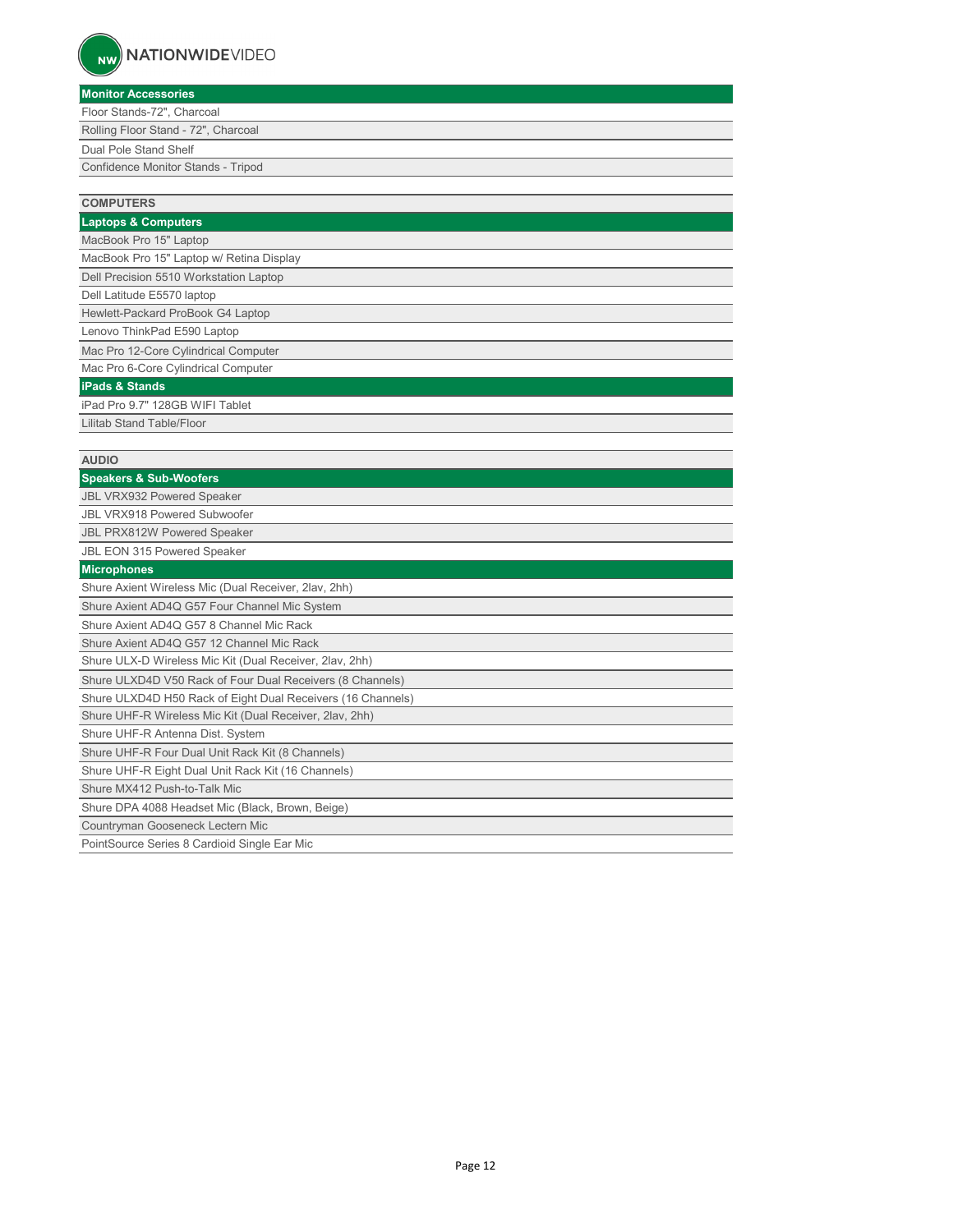| <b>COMPUTERS</b>                                            |
|-------------------------------------------------------------|
| <b>Laptops &amp; Computers</b>                              |
| MacBook Pro 15" Laptop                                      |
| MacBook Pro 15" Laptop w/ Retina Display                    |
| Dell Precision 5510 Workstation Laptop                      |
| Dell Latitude E5570 laptop                                  |
| Hewlett-Packard ProBook G4 Laptop                           |
| Lenovo ThinkPad E590 Laptop                                 |
| Mac Pro 12-Core Cylindrical Computer                        |
| Mac Pro 6-Core Cylindrical Computer                         |
| <b>iPads &amp; Stands</b>                                   |
| iPad Pro 9.7" 128GB WIFI Tablet                             |
| Lilitab Stand Table/Floor                                   |
|                                                             |
| <b>AUDIO</b>                                                |
| <b>Speakers &amp; Sub-Woofers</b>                           |
| <b>JBL VRX932 Powered Speaker</b>                           |
| <b>JBL VRX918 Powered Subwoofer</b>                         |
| <b>JBL PRX812W Powered Speaker</b>                          |
| JBL EON 315 Powered Speaker                                 |
| <b>Microphones</b>                                          |
| Shure Axient Wireless Mic (Dual Receiver, 2lav, 2hh)        |
| Shure Axient AD4Q G57 Four Channel Mic System               |
| Shure Axient AD4Q G57 8 Channel Mic Rack                    |
| Shure Axient AD4Q G57 12 Channel Mic Rack                   |
| Shure ULX-D Wireless Mic Kit (Dual Receiver, 2lav, 2hh)     |
| Shure ULXD4D V50 Rack of Four Dual Receivers (8 Channels)   |
| Shure ULXD4D H50 Rack of Eight Dual Receivers (16 Channels) |
| Shure UHF-R Wireless Mic Kit (Dual Receiver, 2lav, 2hh)     |
| Shure UHF-R Antenna Dist. System                            |
| Shure UHF-R Four Dual Unit Rack Kit (8 Channels)            |
| Shure UHF-R Eight Dual Unit Rack Kit (16 Channels)          |
| Shure MX412 Push-to-Talk Mic                                |
| Shure DPA 4088 Headset Mic (Black, Brown, Beige)            |
| Countryman Gooseneck Lectern Mic                            |
| PointSource Series 8 Cardioid Single Ear Mic                |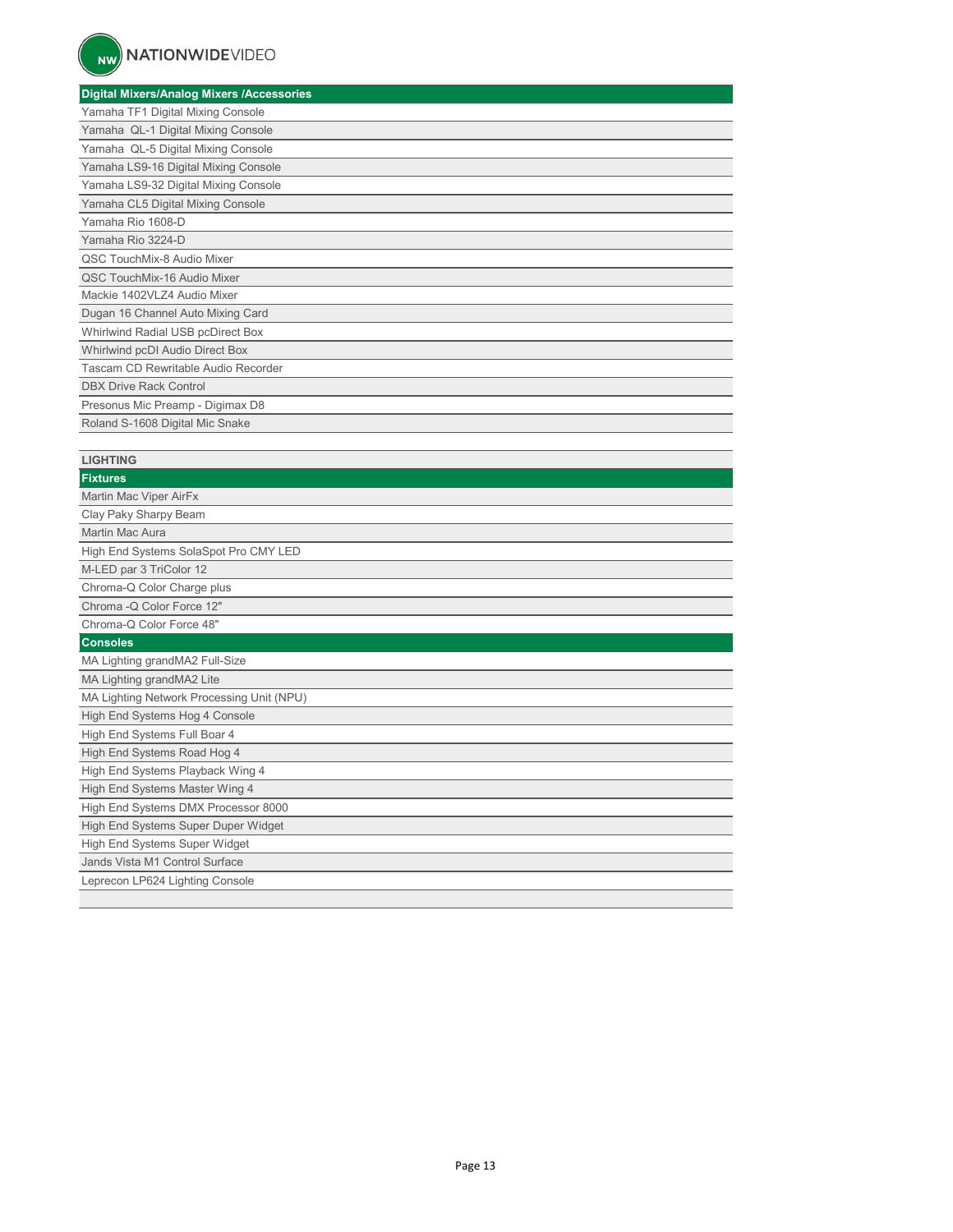## **Digital Mixers/Analog Mixers /Accessories**

| <u>sightar mixteren unaregimixtere in teeseesinee</u> |
|-------------------------------------------------------|
| Yamaha TF1 Digital Mixing Console                     |
| Yamaha QL-1 Digital Mixing Console                    |
| Yamaha QL-5 Digital Mixing Console                    |
| Yamaha LS9-16 Digital Mixing Console                  |
| Yamaha LS9-32 Digital Mixing Console                  |
| Yamaha CL5 Digital Mixing Console                     |
| Yamaha Rio 1608-D                                     |
| Yamaha Rio 3224-D                                     |
| QSC TouchMix-8 Audio Mixer                            |
| QSC TouchMix-16 Audio Mixer                           |
| Mackie 1402VLZ4 Audio Mixer                           |
| Dugan 16 Channel Auto Mixing Card                     |
| Whirlwind Radial USB pcDirect Box                     |
| Whirlwind pcDI Audio Direct Box                       |
| Tascam CD Rewritable Audio Recorder                   |
| <b>DBX Drive Rack Control</b>                         |
| Presonus Mic Preamp - Digimax D8                      |
| Roland S-1608 Digital Mic Snake                       |

| <b>LIGHTING</b>                           |
|-------------------------------------------|
| <b>Fixtures</b>                           |
| Martin Mac Viper AirFx                    |
| Clay Paky Sharpy Beam                     |
| Martin Mac Aura                           |
| High End Systems SolaSpot Pro CMY LED     |
| M-LED par 3 TriColor 12                   |
| Chroma-Q Color Charge plus                |
| Chroma - Q Color Force 12"                |
| Chroma-Q Color Force 48"                  |
| <b>Consoles</b>                           |
| MA Lighting grandMA2 Full-Size            |
| MA Lighting grandMA2 Lite                 |
| MA Lighting Network Processing Unit (NPU) |
| High End Systems Hog 4 Console            |
| High End Systems Full Boar 4              |
| High End Systems Road Hog 4               |
| High End Systems Playback Wing 4          |
| High End Systems Master Wing 4            |
| High End Systems DMX Processor 8000       |
| High End Systems Super Duper Widget       |
| High End Systems Super Widget             |
| Jands Vista M1 Control Surface            |
| Leprecon LP624 Lighting Console           |
|                                           |